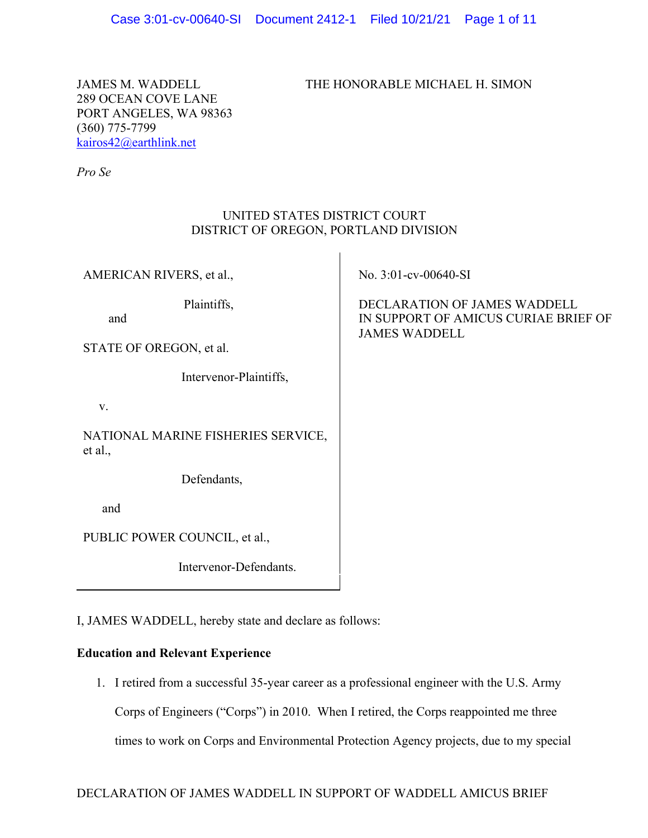JAMES M. WADDELL THE HONORABLE MICHAEL H. SIMON

289 OCEAN COVE LANE PORT ANGELES, WA 98363 (360) 775-7799 kairos42@earthlink.net

*Pro Se*

## UNITED STATES DISTRICT COURT DISTRICT OF OREGON, PORTLAND DIVISION

 $\mathbf{I}$ 

| AMERICAN RIVERS, et al.,                      | No. 3:01-cv-00640-SI                                                                         |
|-----------------------------------------------|----------------------------------------------------------------------------------------------|
| Plaintiffs,<br>and<br>STATE OF OREGON, et al. | DECLARATION OF JAMES WADDELL<br>IN SUPPORT OF AMICUS CURIAE BRIEF OF<br><b>JAMES WADDELL</b> |
|                                               |                                                                                              |
| Intervenor-Plaintiffs,                        |                                                                                              |
| V.                                            |                                                                                              |
| NATIONAL MARINE FISHERIES SERVICE,<br>et al., |                                                                                              |
| Defendants,                                   |                                                                                              |
| and                                           |                                                                                              |
| PUBLIC POWER COUNCIL, et al.,                 |                                                                                              |
| Intervenor-Defendants.                        |                                                                                              |

I, JAMES WADDELL, hereby state and declare as follows:

## **Education and Relevant Experience**

1. I retired from a successful 35-year career as a professional engineer with the U.S. Army Corps of Engineers ("Corps") in 2010. When I retired, the Corps reappointed me three times to work on Corps and Environmental Protection Agency projects, due to my special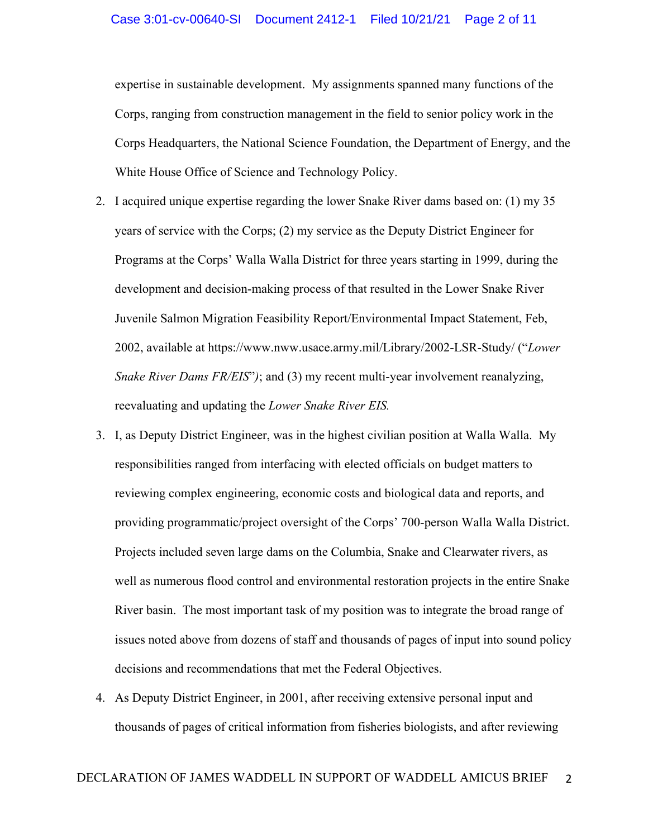expertise in sustainable development. My assignments spanned many functions of the Corps, ranging from construction management in the field to senior policy work in the Corps Headquarters, the National Science Foundation, the Department of Energy, and the White House Office of Science and Technology Policy.

- 2. I acquired unique expertise regarding the lower Snake River dams based on: (1) my 35 years of service with the Corps; (2) my service as the Deputy District Engineer for Programs at the Corps' Walla Walla District for three years starting in 1999, during the development and decision-making process of that resulted in the Lower Snake River Juvenile Salmon Migration Feasibility Report/Environmental Impact Statement, Feb, 2002, available at https://www.nww.usace.army.mil/Library/2002-LSR-Study/ ("*Lower Snake River Dams FR/EIS*"*)*; and (3) my recent multi-year involvement reanalyzing, reevaluating and updating the *Lower Snake River EIS.*
- 3. I, as Deputy District Engineer, was in the highest civilian position at Walla Walla. My responsibilities ranged from interfacing with elected officials on budget matters to reviewing complex engineering, economic costs and biological data and reports, and providing programmatic/project oversight of the Corps' 700-person Walla Walla District. Projects included seven large dams on the Columbia, Snake and Clearwater rivers, as well as numerous flood control and environmental restoration projects in the entire Snake River basin. The most important task of my position was to integrate the broad range of issues noted above from dozens of staff and thousands of pages of input into sound policy decisions and recommendations that met the Federal Objectives.
- 4. As Deputy District Engineer, in 2001, after receiving extensive personal input and thousands of pages of critical information from fisheries biologists, and after reviewing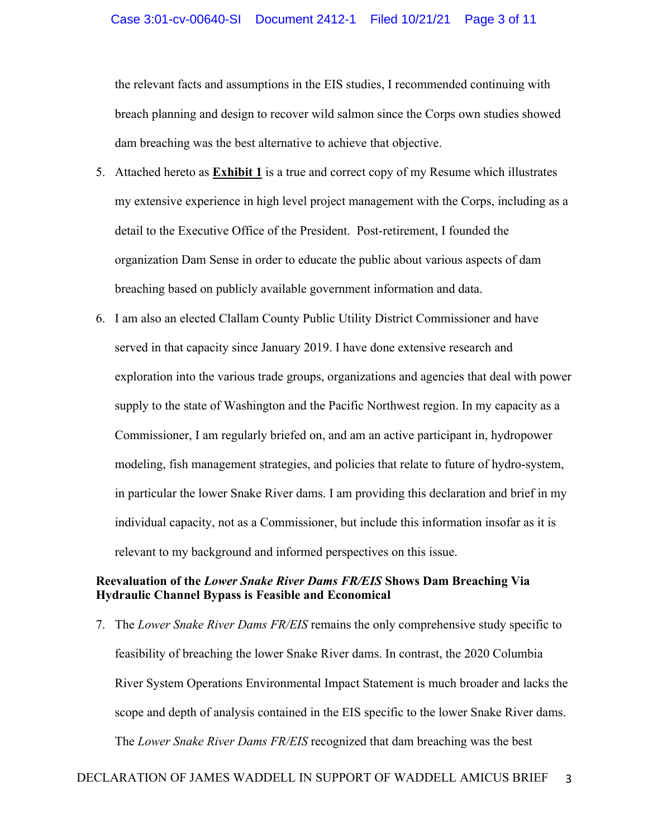the relevant facts and assumptions in the EIS studies, I recommended continuing with breach planning and design to recover wild salmon since the Corps own studies showed dam breaching was the best alternative to achieve that objective.

- 5. Attached hereto as **Exhibit 1** is a true and correct copy of my Resume which illustrates my extensive experience in high level project management with the Corps, including as a detail to the Executive Office of the President. Post-retirement, I founded the organization Dam Sense in order to educate the public about various aspects of dam breaching based on publicly available government information and data.
- 6. I am also an elected Clallam County Public Utility District Commissioner and have served in that capacity since January 2019. I have done extensive research and exploration into the various trade groups, organizations and agencies that deal with power supply to the state of Washington and the Pacific Northwest region. In my capacity as a Commissioner, I am regularly briefed on, and am an active participant in, hydropower modeling, fish management strategies, and policies that relate to future of hydro-system, in particular the lower Snake River dams. I am providing this declaration and brief in my individual capacity, not as a Commissioner, but include this information insofar as it is relevant to my background and informed perspectives on this issue.

## **Reevaluation of the** *Lower Snake River Dams FR/EIS* **Shows Dam Breaching Via Hydraulic Channel Bypass is Feasible and Economical**

7. The *Lower Snake River Dams FR/EIS* remains the only comprehensive study specific to feasibility of breaching the lower Snake River dams. In contrast, the 2020 Columbia River System Operations Environmental Impact Statement is much broader and lacks the scope and depth of analysis contained in the EIS specific to the lower Snake River dams. The *Lower Snake River Dams FR/EIS* recognized that dam breaching was the best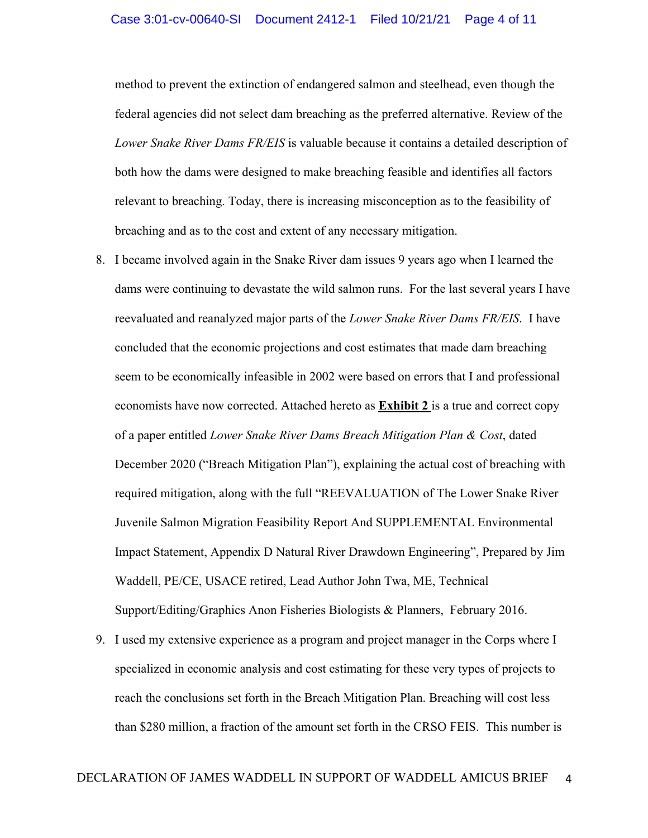method to prevent the extinction of endangered salmon and steelhead, even though the federal agencies did not select dam breaching as the preferred alternative. Review of the *Lower Snake River Dams FR/EIS* is valuable because it contains a detailed description of both how the dams were designed to make breaching feasible and identifies all factors relevant to breaching. Today, there is increasing misconception as to the feasibility of breaching and as to the cost and extent of any necessary mitigation.

- 8. I became involved again in the Snake River dam issues 9 years ago when I learned the dams were continuing to devastate the wild salmon runs. For the last several years I have reevaluated and reanalyzed major parts of the *Lower Snake River Dams FR/EIS*. I have concluded that the economic projections and cost estimates that made dam breaching seem to be economically infeasible in 2002 were based on errors that I and professional economists have now corrected. Attached hereto as **Exhibit 2** is a true and correct copy of a paper entitled *Lower Snake River Dams Breach Mitigation Plan & Cost*, dated December 2020 ("Breach Mitigation Plan"), explaining the actual cost of breaching with required mitigation, along with the full "REEVALUATION of The Lower Snake River Juvenile Salmon Migration Feasibility Report And SUPPLEMENTAL Environmental Impact Statement, Appendix D Natural River Drawdown Engineering", Prepared by Jim Waddell, PE/CE, USACE retired, Lead Author John Twa, ME, Technical Support/Editing/Graphics Anon Fisheries Biologists & Planners, February 2016.
- 9. I used my extensive experience as a program and project manager in the Corps where I specialized in economic analysis and cost estimating for these very types of projects to reach the conclusions set forth in the Breach Mitigation Plan. Breaching will cost less than \$280 million, a fraction of the amount set forth in the CRSO FEIS. This number is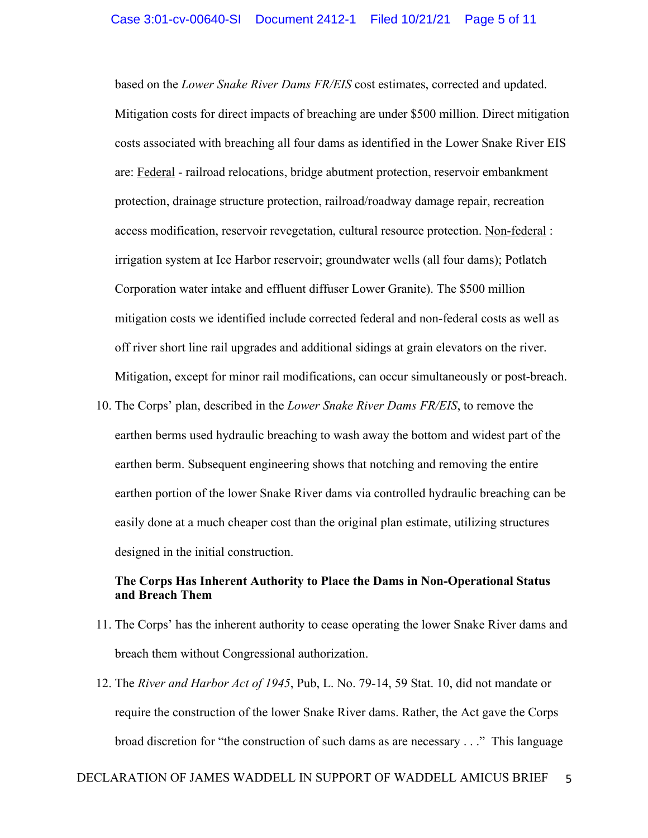based on the *Lower Snake River Dams FR/EIS* cost estimates, corrected and updated. Mitigation costs for direct impacts of breaching are under \$500 million. Direct mitigation costs associated with breaching all four dams as identified in the Lower Snake River EIS are: Federal - railroad relocations, bridge abutment protection, reservoir embankment protection, drainage structure protection, railroad/roadway damage repair, recreation access modification, reservoir revegetation, cultural resource protection. Non-federal : irrigation system at Ice Harbor reservoir; groundwater wells (all four dams); Potlatch Corporation water intake and effluent diffuser Lower Granite). The \$500 million mitigation costs we identified include corrected federal and non-federal costs as well as off river short line rail upgrades and additional sidings at grain elevators on the river. Mitigation, except for minor rail modifications, can occur simultaneously or post-breach.

10. The Corps' plan, described in the *Lower Snake River Dams FR/EIS*, to remove the earthen berms used hydraulic breaching to wash away the bottom and widest part of the earthen berm. Subsequent engineering shows that notching and removing the entire earthen portion of the lower Snake River dams via controlled hydraulic breaching can be easily done at a much cheaper cost than the original plan estimate, utilizing structures designed in the initial construction.

## **The Corps Has Inherent Authority to Place the Dams in Non-Operational Status and Breach Them**

- 11. The Corps' has the inherent authority to cease operating the lower Snake River dams and breach them without Congressional authorization.
- 12. The *River and Harbor Act of 1945*, Pub, L. No. 79-14, 59 Stat. 10, did not mandate or require the construction of the lower Snake River dams. Rather, the Act gave the Corps broad discretion for "the construction of such dams as are necessary . . ." This language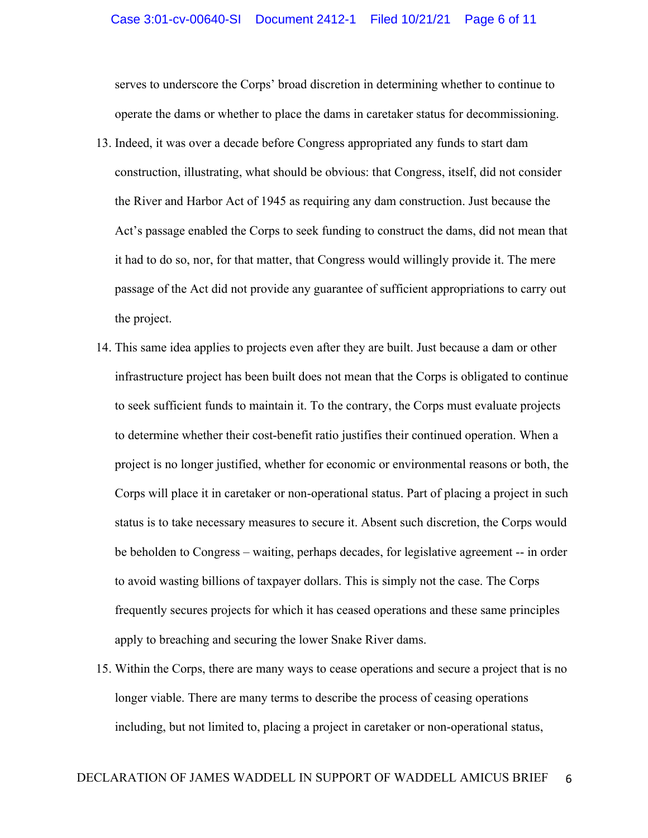serves to underscore the Corps' broad discretion in determining whether to continue to operate the dams or whether to place the dams in caretaker status for decommissioning.

- 13. Indeed, it was over a decade before Congress appropriated any funds to start dam construction, illustrating, what should be obvious: that Congress, itself, did not consider the River and Harbor Act of 1945 as requiring any dam construction. Just because the Act's passage enabled the Corps to seek funding to construct the dams, did not mean that it had to do so, nor, for that matter, that Congress would willingly provide it. The mere passage of the Act did not provide any guarantee of sufficient appropriations to carry out the project.
- 14. This same idea applies to projects even after they are built. Just because a dam or other infrastructure project has been built does not mean that the Corps is obligated to continue to seek sufficient funds to maintain it. To the contrary, the Corps must evaluate projects to determine whether their cost-benefit ratio justifies their continued operation. When a project is no longer justified, whether for economic or environmental reasons or both, the Corps will place it in caretaker or non-operational status. Part of placing a project in such status is to take necessary measures to secure it. Absent such discretion, the Corps would be beholden to Congress – waiting, perhaps decades, for legislative agreement -- in order to avoid wasting billions of taxpayer dollars. This is simply not the case. The Corps frequently secures projects for which it has ceased operations and these same principles apply to breaching and securing the lower Snake River dams.
- 15. Within the Corps, there are many ways to cease operations and secure a project that is no longer viable. There are many terms to describe the process of ceasing operations including, but not limited to, placing a project in caretaker or non-operational status,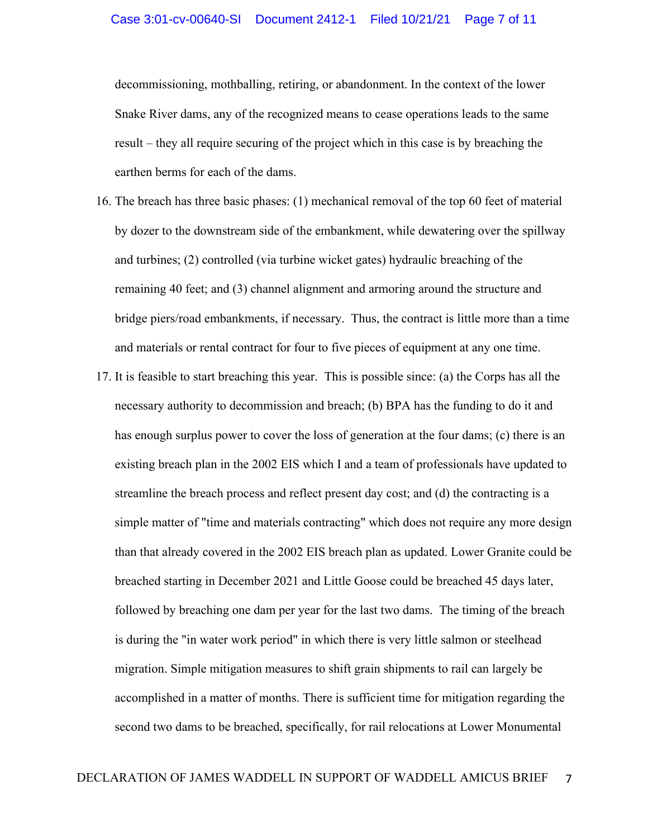decommissioning, mothballing, retiring, or abandonment. In the context of the lower Snake River dams, any of the recognized means to cease operations leads to the same result – they all require securing of the project which in this case is by breaching the earthen berms for each of the dams.

- 16. The breach has three basic phases: (1) mechanical removal of the top 60 feet of material by dozer to the downstream side of the embankment, while dewatering over the spillway and turbines; (2) controlled (via turbine wicket gates) hydraulic breaching of the remaining 40 feet; and (3) channel alignment and armoring around the structure and bridge piers/road embankments, if necessary. Thus, the contract is little more than a time and materials or rental contract for four to five pieces of equipment at any one time.
- 17. It is feasible to start breaching this year. This is possible since: (a) the Corps has all the necessary authority to decommission and breach; (b) BPA has the funding to do it and has enough surplus power to cover the loss of generation at the four dams; (c) there is an existing breach plan in the 2002 EIS which I and a team of professionals have updated to streamline the breach process and reflect present day cost; and (d) the contracting is a simple matter of "time and materials contracting" which does not require any more design than that already covered in the 2002 EIS breach plan as updated. Lower Granite could be breached starting in December 2021 and Little Goose could be breached 45 days later, followed by breaching one dam per year for the last two dams. The timing of the breach is during the "in water work period" in which there is very little salmon or steelhead migration. Simple mitigation measures to shift grain shipments to rail can largely be accomplished in a matter of months. There is sufficient time for mitigation regarding the second two dams to be breached, specifically, for rail relocations at Lower Monumental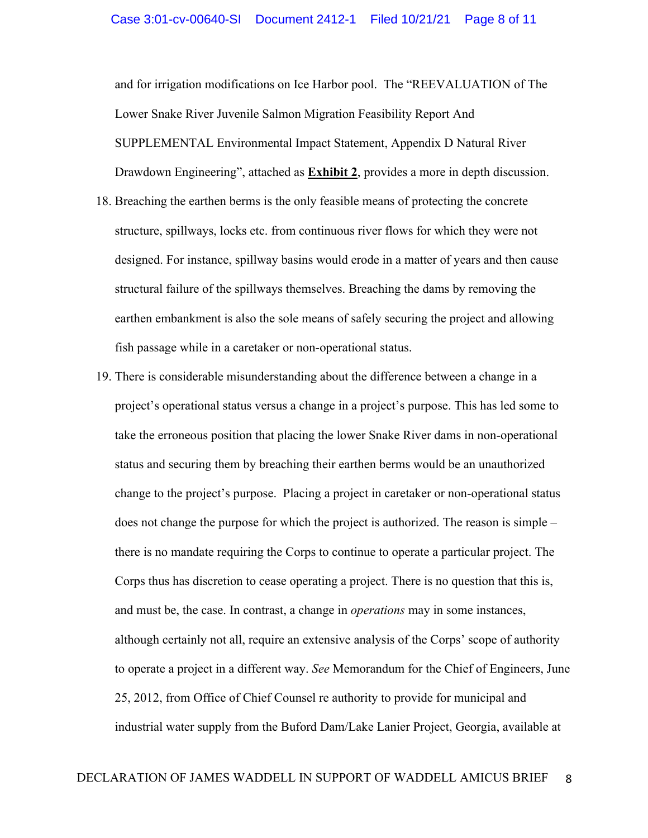and for irrigation modifications on Ice Harbor pool. The "REEVALUATION of The Lower Snake River Juvenile Salmon Migration Feasibility Report And SUPPLEMENTAL Environmental Impact Statement, Appendix D Natural River Drawdown Engineering", attached as **Exhibit 2**, provides a more in depth discussion.

- 18. Breaching the earthen berms is the only feasible means of protecting the concrete structure, spillways, locks etc. from continuous river flows for which they were not designed. For instance, spillway basins would erode in a matter of years and then cause structural failure of the spillways themselves. Breaching the dams by removing the earthen embankment is also the sole means of safely securing the project and allowing fish passage while in a caretaker or non-operational status.
- 19. There is considerable misunderstanding about the difference between a change in a project's operational status versus a change in a project's purpose. This has led some to take the erroneous position that placing the lower Snake River dams in non-operational status and securing them by breaching their earthen berms would be an unauthorized change to the project's purpose. Placing a project in caretaker or non-operational status does not change the purpose for which the project is authorized. The reason is simple – there is no mandate requiring the Corps to continue to operate a particular project. The Corps thus has discretion to cease operating a project. There is no question that this is, and must be, the case. In contrast, a change in *operations* may in some instances, although certainly not all, require an extensive analysis of the Corps' scope of authority to operate a project in a different way. *See* Memorandum for the Chief of Engineers, June 25, 2012, from Office of Chief Counsel re authority to provide for municipal and industrial water supply from the Buford Dam/Lake Lanier Project, Georgia, available at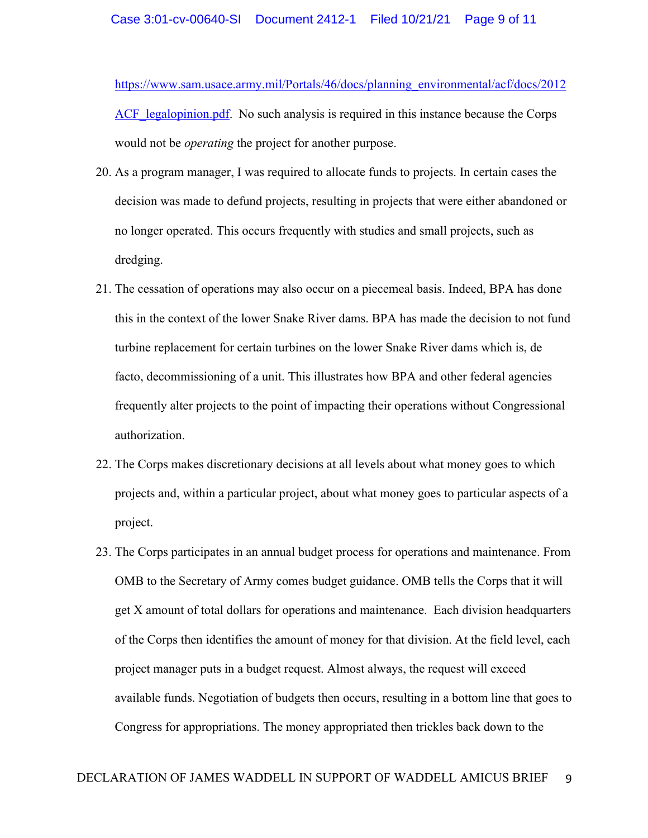https://www.sam.usace.army.mil/Portals/46/docs/planning\_environmental/acf/docs/2012 ACF legalopinion.pdf. No such analysis is required in this instance because the Corps would not be *operating* the project for another purpose.

- 20. As a program manager, I was required to allocate funds to projects. In certain cases the decision was made to defund projects, resulting in projects that were either abandoned or no longer operated. This occurs frequently with studies and small projects, such as dredging.
- 21. The cessation of operations may also occur on a piecemeal basis. Indeed, BPA has done this in the context of the lower Snake River dams. BPA has made the decision to not fund turbine replacement for certain turbines on the lower Snake River dams which is, de facto, decommissioning of a unit. This illustrates how BPA and other federal agencies frequently alter projects to the point of impacting their operations without Congressional authorization.
- 22. The Corps makes discretionary decisions at all levels about what money goes to which projects and, within a particular project, about what money goes to particular aspects of a project.
- 23. The Corps participates in an annual budget process for operations and maintenance. From OMB to the Secretary of Army comes budget guidance. OMB tells the Corps that it will get X amount of total dollars for operations and maintenance. Each division headquarters of the Corps then identifies the amount of money for that division. At the field level, each project manager puts in a budget request. Almost always, the request will exceed available funds. Negotiation of budgets then occurs, resulting in a bottom line that goes to Congress for appropriations. The money appropriated then trickles back down to the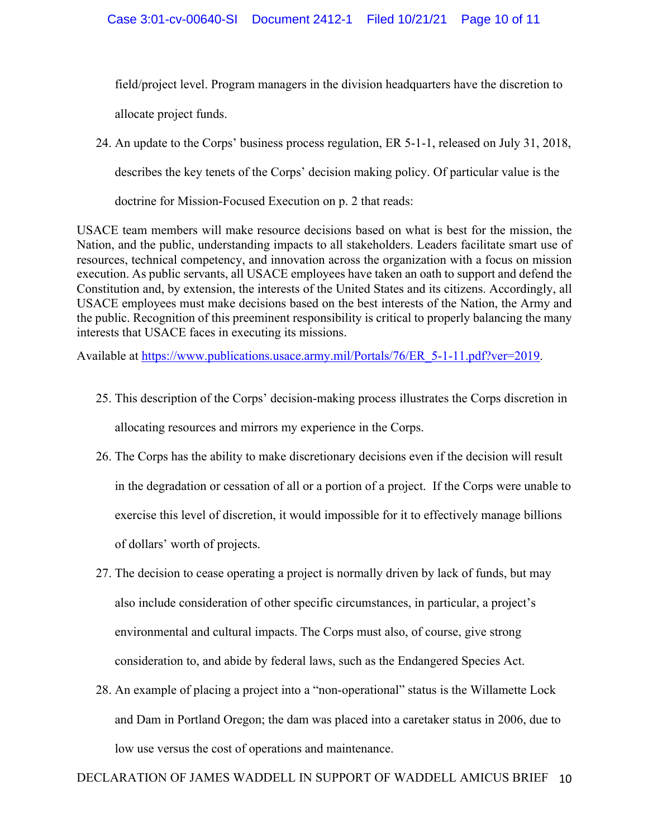field/project level. Program managers in the division headquarters have the discretion to allocate project funds.

24. An update to the Corps' business process regulation, ER 5-1-1, released on July 31, 2018,

describes the key tenets of the Corps' decision making policy. Of particular value is the

doctrine for Mission-Focused Execution on p. 2 that reads:

USACE team members will make resource decisions based on what is best for the mission, the Nation, and the public, understanding impacts to all stakeholders. Leaders facilitate smart use of resources, technical competency, and innovation across the organization with a focus on mission execution. As public servants, all USACE employees have taken an oath to support and defend the Constitution and, by extension, the interests of the United States and its citizens. Accordingly, all USACE employees must make decisions based on the best interests of the Nation, the Army and the public. Recognition of this preeminent responsibility is critical to properly balancing the many interests that USACE faces in executing its missions.

Available at https://www.publications.usace.army.mil/Portals/76/ER\_5-1-11.pdf?ver=2019.

- 25. This description of the Corps' decision-making process illustrates the Corps discretion in allocating resources and mirrors my experience in the Corps.
- 26. The Corps has the ability to make discretionary decisions even if the decision will result in the degradation or cessation of all or a portion of a project. If the Corps were unable to exercise this level of discretion, it would impossible for it to effectively manage billions of dollars' worth of projects.
- 27. The decision to cease operating a project is normally driven by lack of funds, but may also include consideration of other specific circumstances, in particular, a project's environmental and cultural impacts. The Corps must also, of course, give strong consideration to, and abide by federal laws, such as the Endangered Species Act.
- 28. An example of placing a project into a "non-operational" status is the Willamette Lock and Dam in Portland Oregon; the dam was placed into a caretaker status in 2006, due to low use versus the cost of operations and maintenance.